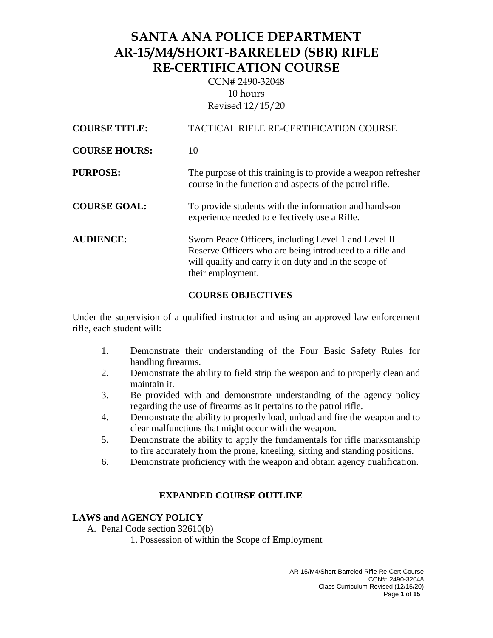CCN# 2490-32048 10 hours Revised 12/15/20

| <b>COURSE TITLE:</b> | <b>TACTICAL RIFLE RE-CERTIFICATION COURSE</b>                                                                                                                                                  |
|----------------------|------------------------------------------------------------------------------------------------------------------------------------------------------------------------------------------------|
| <b>COURSE HOURS:</b> | 10                                                                                                                                                                                             |
| <b>PURPOSE:</b>      | The purpose of this training is to provide a weapon refresher<br>course in the function and aspects of the patrol rifle.                                                                       |
| <b>COURSE GOAL:</b>  | To provide students with the information and hands-on<br>experience needed to effectively use a Rifle.                                                                                         |
| <b>AUDIENCE:</b>     | Sworn Peace Officers, including Level 1 and Level II<br>Reserve Officers who are being introduced to a rifle and<br>will qualify and carry it on duty and in the scope of<br>their employment. |

## **COURSE OBJECTIVES**

Under the supervision of a qualified instructor and using an approved law enforcement rifle, each student will:

- 1. Demonstrate their understanding of the Four Basic Safety Rules for handling firearms.
- 2. Demonstrate the ability to field strip the weapon and to properly clean and maintain it.
- 3. Be provided with and demonstrate understanding of the agency policy regarding the use of firearms as it pertains to the patrol rifle.
- 4. Demonstrate the ability to properly load, unload and fire the weapon and to clear malfunctions that might occur with the weapon.
- 5. Demonstrate the ability to apply the fundamentals for rifle marksmanship to fire accurately from the prone, kneeling, sitting and standing positions.
- 6. Demonstrate proficiency with the weapon and obtain agency qualification.

## **EXPANDED COURSE OUTLINE**

## **LAWS and AGENCY POLICY**

A. Penal Code section 32610(b)

1. Possession of within the Scope of Employment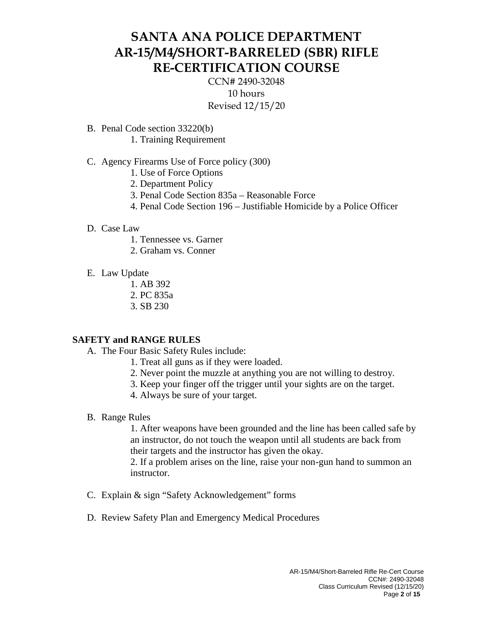CCN# 2490-32048 10 hours Revised 12/15/20

- B. Penal Code section 33220(b)
	- 1. Training Requirement

## C. Agency Firearms Use of Force policy (300)

- 1. Use of Force Options
- 2. Department Policy
- 3. Penal Code Section 835a Reasonable Force
- 4. Penal Code Section 196 Justifiable Homicide by a Police Officer

## D. Case Law

- 1. Tennessee vs. Garner
- 2. Graham vs. Conner
- E. Law Update
	- 1. AB 392
	- 2. PC 835a
	- 3. SB 230

## **SAFETY and RANGE RULES**

- A. The Four Basic Safety Rules include:
	- 1. Treat all guns as if they were loaded.
	- 2. Never point the muzzle at anything you are not willing to destroy.
	- 3. Keep your finger off the trigger until your sights are on the target.
	- 4. Always be sure of your target.
- B. Range Rules

1. After weapons have been grounded and the line has been called safe by an instructor, do not touch the weapon until all students are back from their targets and the instructor has given the okay.

2. If a problem arises on the line, raise your non-gun hand to summon an instructor.

- C. Explain & sign "Safety Acknowledgement" forms
- D. Review Safety Plan and Emergency Medical Procedures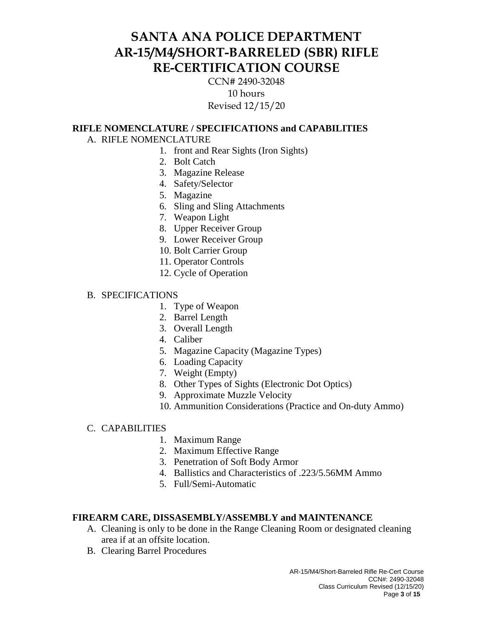CCN# 2490-32048 10 hours Revised 12/15/20

### **RIFLE NOMENCLATURE / SPECIFICATIONS and CAPABILITIES**

## A. RIFLE NOMENCLATURE

- 1. front and Rear Sights (Iron Sights)
- 2. Bolt Catch
- 3. Magazine Release
- 4. Safety/Selector
- 5. Magazine
- 6. Sling and Sling Attachments
- 7. Weapon Light
- 8. Upper Receiver Group
- 9. Lower Receiver Group
- 10. Bolt Carrier Group
- 11. Operator Controls
- 12. Cycle of Operation

### B. SPECIFICATIONS

- 1. Type of Weapon
- 2. Barrel Length
- 3. Overall Length
- 4. Caliber
- 5. Magazine Capacity (Magazine Types)
- 6. Loading Capacity
- 7. Weight (Empty)
- 8. Other Types of Sights (Electronic Dot Optics)
- 9. Approximate Muzzle Velocity
- 10. Ammunition Considerations (Practice and On-duty Ammo)

### C. CAPABILITIES

- 1. Maximum Range
- 2. Maximum Effective Range
- 3. Penetration of Soft Body Armor
- 4. Ballistics and Characteristics of .223/5.56MM Ammo
- 5. Full/Semi-Automatic

### **FIREARM CARE, DISSASEMBLY/ASSEMBLY and MAINTENANCE**

- A. Cleaning is only to be done in the Range Cleaning Room or designated cleaning area if at an offsite location.
- B. Clearing Barrel Procedures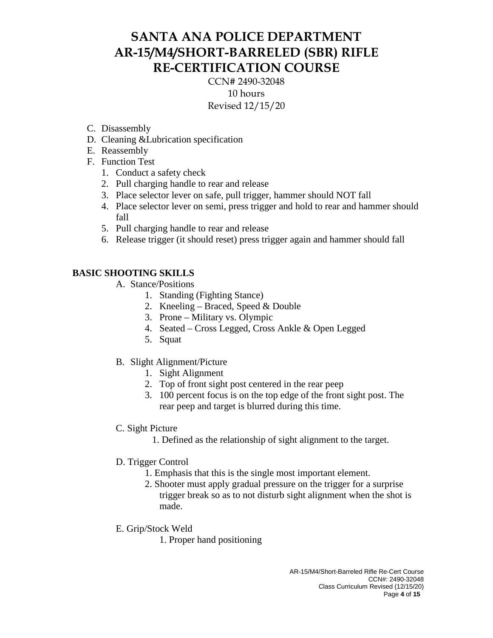CCN# 2490-32048 10 hours Revised 12/15/20

- C. Disassembly
- D. Cleaning &Lubrication specification
- E. Reassembly
- F. Function Test
	- 1. Conduct a safety check
	- 2. Pull charging handle to rear and release
	- 3. Place selector lever on safe, pull trigger, hammer should NOT fall
	- 4. Place selector lever on semi, press trigger and hold to rear and hammer should fall
	- 5. Pull charging handle to rear and release
	- 6. Release trigger (it should reset) press trigger again and hammer should fall

## **BASIC SHOOTING SKILLS**

- A. Stance/Positions
	- 1. Standing (Fighting Stance)
	- 2. Kneeling Braced, Speed & Double
	- 3. Prone Military vs. Olympic
	- 4. Seated Cross Legged, Cross Ankle & Open Legged
	- 5. Squat
- B. Slight Alignment/Picture
	- 1. Sight Alignment
	- 2. Top of front sight post centered in the rear peep
	- 3. 100 percent focus is on the top edge of the front sight post. The rear peep and target is blurred during this time.

## C. Sight Picture

1. Defined as the relationship of sight alignment to the target.

## D. Trigger Control

- 1. Emphasis that this is the single most important element.
- 2. Shooter must apply gradual pressure on the trigger for a surprise trigger break so as to not disturb sight alignment when the shot is made.
- E. Grip/Stock Weld
	- 1. Proper hand positioning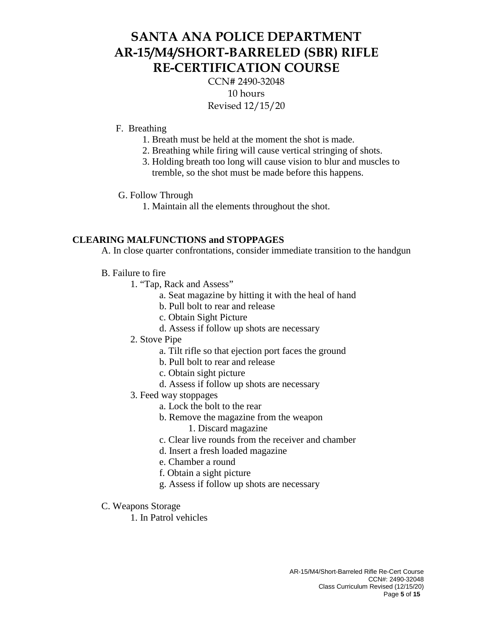CCN# 2490-32048 10 hours Revised 12/15/20

## F. Breathing

- 1. Breath must be held at the moment the shot is made.
- 2. Breathing while firing will cause vertical stringing of shots.
- 3. Holding breath too long will cause vision to blur and muscles to tremble, so the shot must be made before this happens.
- G. Follow Through
	- 1. Maintain all the elements throughout the shot.

## **CLEARING MALFUNCTIONS and STOPPAGES**

A. In close quarter confrontations, consider immediate transition to the handgun

## B. Failure to fire

- 1. "Tap, Rack and Assess"
	- a. Seat magazine by hitting it with the heal of hand
	- b. Pull bolt to rear and release
	- c. Obtain Sight Picture
	- d. Assess if follow up shots are necessary
- 2. Stove Pipe
	- a. Tilt rifle so that ejection port faces the ground
	- b. Pull bolt to rear and release
	- c. Obtain sight picture
	- d. Assess if follow up shots are necessary
- 3. Feed way stoppages
	- a. Lock the bolt to the rear
	- b. Remove the magazine from the weapon
		- 1. Discard magazine
	- c. Clear live rounds from the receiver and chamber
	- d. Insert a fresh loaded magazine
	- e. Chamber a round
	- f. Obtain a sight picture
	- g. Assess if follow up shots are necessary
- C. Weapons Storage
	- 1. In Patrol vehicles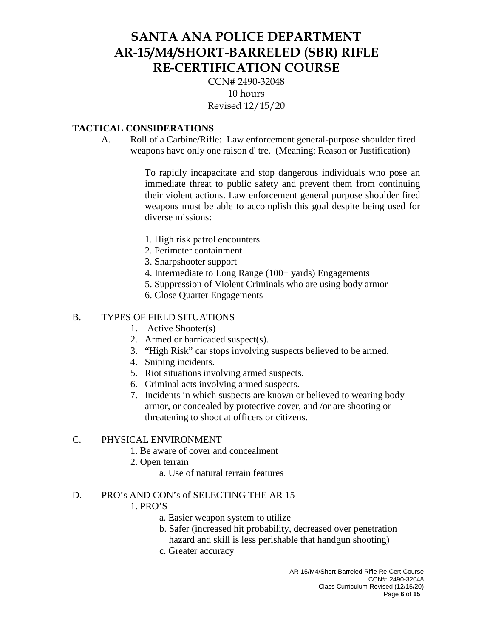CCN# 2490-32048 10 hours Revised 12/15/20

## **TACTICAL CONSIDERATIONS**

A. Roll of a Carbine/Rifle: Law enforcement general-purpose shoulder fired weapons have only one raison d' tre. (Meaning: Reason or Justification)

> To rapidly incapacitate and stop dangerous individuals who pose an immediate threat to public safety and prevent them from continuing their violent actions. Law enforcement general purpose shoulder fired weapons must be able to accomplish this goal despite being used for diverse missions:

- 1. High risk patrol encounters
- 2. Perimeter containment
- 3. Sharpshooter support
- 4. Intermediate to Long Range (100+ yards) Engagements
- 5. Suppression of Violent Criminals who are using body armor
- 6. Close Quarter Engagements

## B. TYPES OF FIELD SITUATIONS

- 1. Active Shooter(s)
- 2. Armed or barricaded suspect(s).
- 3. "High Risk" car stops involving suspects believed to be armed.
- 4. Sniping incidents.
- 5. Riot situations involving armed suspects.
- 6. Criminal acts involving armed suspects.
- 7. Incidents in which suspects are known or believed to wearing body armor, or concealed by protective cover, and /or are shooting or threatening to shoot at officers or citizens.

## C. PHYSICAL ENVIRONMENT

- 1. Be aware of cover and concealment
- 2. Open terrain

a. Use of natural terrain features

## D. PRO's AND CON's of SELECTING THE AR 15

## 1. PRO'S

- a. Easier weapon system to utilize
- b. Safer (increased hit probability, decreased over penetration hazard and skill is less perishable that handgun shooting)
- c. Greater accuracy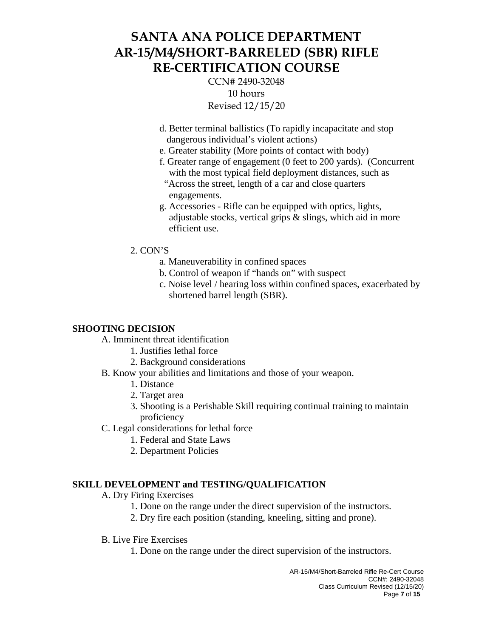CCN# 2490-32048 10 hours Revised 12/15/20

- d. Better terminal ballistics (To rapidly incapacitate and stop dangerous individual's violent actions)
- e. Greater stability (More points of contact with body)
- f. Greater range of engagement (0 feet to 200 yards). (Concurrent with the most typical field deployment distances, such as "Across the street, length of a car and close quarters engagements.
- g. Accessories Rifle can be equipped with optics, lights, adjustable stocks, vertical grips & slings, which aid in more efficient use.
- 2. CON'S
	- a. Maneuverability in confined spaces
	- b. Control of weapon if "hands on" with suspect
	- c. Noise level / hearing loss within confined spaces, exacerbated by shortened barrel length (SBR).

## **SHOOTING DECISION**

- A. Imminent threat identification
	- 1. Justifies lethal force
	- 2. Background considerations
- B. Know your abilities and limitations and those of your weapon.
	- 1. Distance
	- 2. Target area
	- 3. Shooting is a Perishable Skill requiring continual training to maintain proficiency
- C. Legal considerations for lethal force
	- 1. Federal and State Laws
	- 2. Department Policies

## **SKILL DEVELOPMENT and TESTING/QUALIFICATION**

A. Dry Firing Exercises

- 1. Done on the range under the direct supervision of the instructors.
- 2. Dry fire each position (standing, kneeling, sitting and prone).
- B. Live Fire Exercises
	- 1. Done on the range under the direct supervision of the instructors.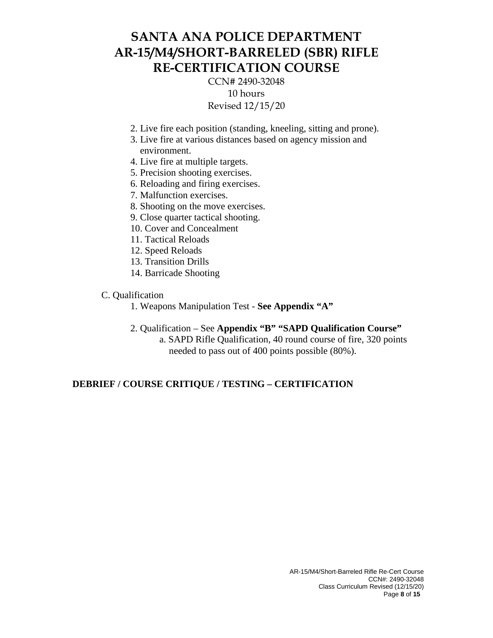CCN# 2490-32048 10 hours Revised 12/15/20

- 2. Live fire each position (standing, kneeling, sitting and prone).
- 3. Live fire at various distances based on agency mission and environment.
- 4. Live fire at multiple targets.
- 5. Precision shooting exercises.
- 6. Reloading and firing exercises.
- 7. Malfunction exercises.
- 8. Shooting on the move exercises.
- 9. Close quarter tactical shooting.
- 10. Cover and Concealment
- 11. Tactical Reloads
- 12. Speed Reloads
- 13. Transition Drills
- 14. Barricade Shooting

### C. Qualification

- 1. Weapons Manipulation Test **See Appendix "A"**
- 2. Qualification See **Appendix "B" "SAPD Qualification Course"**
	- a. SAPD Rifle Qualification, 40 round course of fire, 320 points needed to pass out of 400 points possible (80%).

### **DEBRIEF / COURSE CRITIQUE / TESTING – CERTIFICATION**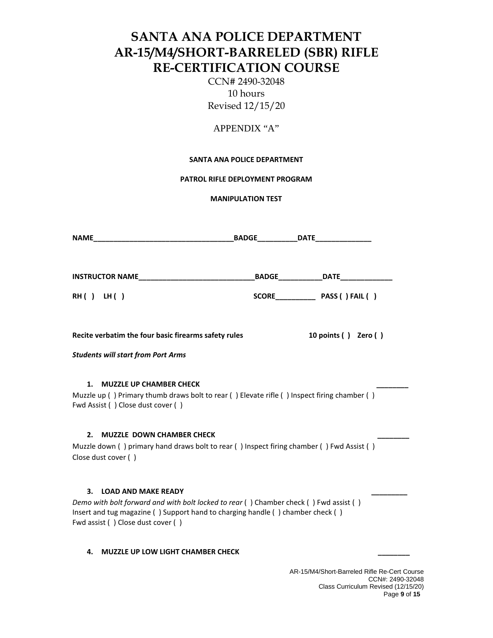CCN# 2490-32048 10 hours Revised 12/15/20

### APPENDIX "A"

### **SANTA ANA POLICE DEPARTMENT**

**PATROL RIFLE DEPLOYMENT PROGRAM**

**MANIPULATION TEST**

| <b>INSTRUCTOR NAME BADGE DATE</b>                                                                                                                                                                                                                |                      |
|--------------------------------------------------------------------------------------------------------------------------------------------------------------------------------------------------------------------------------------------------|----------------------|
| RH() LH()                                                                                                                                                                                                                                        |                      |
| Recite verbatim the four basic firearms safety rules                                                                                                                                                                                             | 10 points () Zero () |
| <b>Students will start from Port Arms</b>                                                                                                                                                                                                        |                      |
| 1.<br><b>MUZZLE UP CHAMBER CHECK</b><br>Muzzle up () Primary thumb draws bolt to rear () Elevate rifle () Inspect firing chamber ()<br>Fwd Assist () Close dust cover ()                                                                         |                      |
| 2.<br><b>MUZZLE DOWN CHAMBER CHECK</b><br>Muzzle down () primary hand draws bolt to rear () Inspect firing chamber () Fwd Assist ()<br>Close dust cover ()                                                                                       |                      |
| 3.<br><b>LOAD AND MAKE READY</b><br>Demo with bolt forward and with bolt locked to rear () Chamber check () Fwd assist ()<br>Insert and tug magazine () Support hand to charging handle () chamber check ()<br>Fwd assist () Close dust cover () |                      |
| <b>MUZZLE UP LOW LIGHT CHAMBER CHECK</b><br>4.                                                                                                                                                                                                   |                      |

AR-15/M4/Short-Barreled Rifle Re-Cert Course CCN#: 2490-32048 Class Curriculum Revised (12/15/20) Page **9** of **15**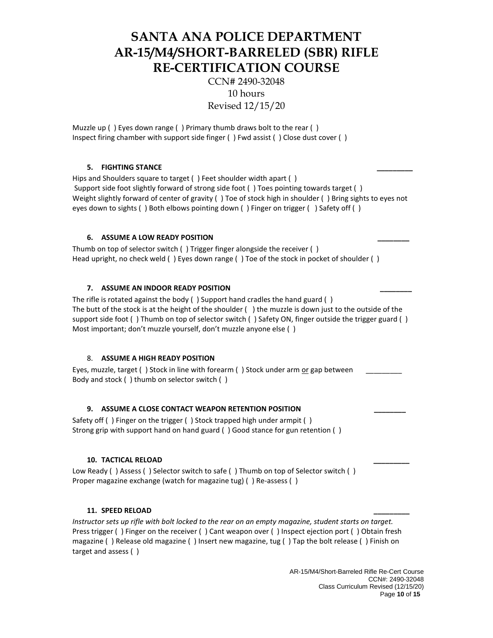CCN# 2490-32048 10 hours Revised 12/15/20

Muzzle up ( ) Eyes down range ( ) Primary thumb draws bolt to the rear ( ) Inspect firing chamber with support side finger ( ) Fwd assist ( ) Close dust cover ( )

### **5. FIGHTING STANCE \_\_\_\_\_\_\_\_\_**

Hips and Shoulders square to target ( ) Feet shoulder width apart ( ) Support side foot slightly forward of strong side foot ( ) Toes pointing towards target ( ) Weight slightly forward of center of gravity ( ) Toe of stock high in shoulder ( ) Bring sights to eyes not eyes down to sights ( ) Both elbows pointing down ( ) Finger on trigger ( ) Safety off ( )

#### **6. ASSUME A LOW READY POSITION**

Thumb on top of selector switch ( ) Trigger finger alongside the receiver ( ) Head upright, no check weld ( ) Eyes down range ( ) Toe of the stock in pocket of shoulder ( )

#### **7. ASSUME AN INDOOR READY POSITION**

The rifle is rotated against the body ( ) Support hand cradles the hand guard ( ) The butt of the stock is at the height of the shoulder ( ) the muzzle is down just to the outside of the support side foot ( ) Thumb on top of selector switch ( ) Safety ON, finger outside the trigger guard ( ) Most important; don't muzzle yourself, don't muzzle anyone else ( )

#### 8. **ASSUME A HIGH READY POSITION**

Eyes, muzzle, target ( ) Stock in line with forearm ( ) Stock under arm or gap between \_\_\_\_\_\_\_\_\_ Body and stock ( ) thumb on selector switch ( )

#### 9. **ASSUME A CLOSE CONTACT WEAPON RETENTION POSITION**

Safety off ( ) Finger on the trigger ( ) Stock trapped high under armpit ( ) Strong grip with support hand on hand guard ( ) Good stance for gun retention ( )

#### **10. TACTICAL RELOAD \_\_\_\_\_\_\_\_\_**

Low Ready () Assess () Selector switch to safe () Thumb on top of Selector switch () Proper magazine exchange (watch for magazine tug) ( ) Re-assess ( )

#### **11. SPEED RELOAD \_\_\_\_\_\_\_\_\_**

*Instructor sets up rifle with bolt locked to the rear on an empty magazine, student starts on target.* Press trigger ( ) Finger on the receiver ( ) Cant weapon over ( ) Inspect ejection port ( ) Obtain fresh magazine ( ) Release old magazine ( ) Insert new magazine, tug ( ) Tap the bolt release ( ) Finish on target and assess ( )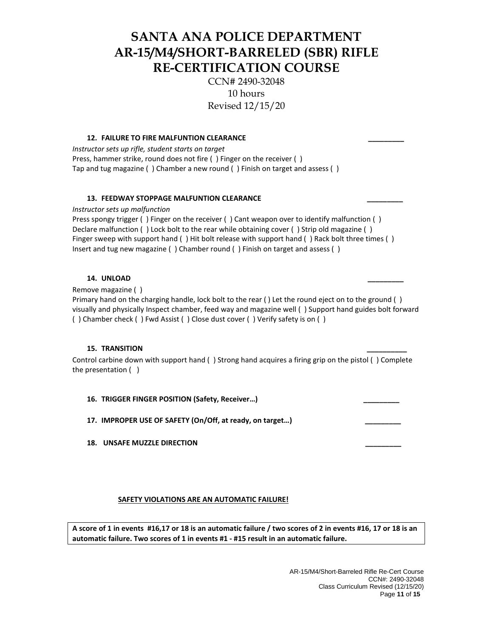CCN# 2490-32048 10 hours Revised 12/15/20

#### 12. **FAILURE TO FIRE MALFUNTION CLEARANCE**

*Instructor sets up rifle, student starts on target* Press, hammer strike, round does not fire ( ) Finger on the receiver ( ) Tap and tug magazine ( ) Chamber a new round ( ) Finish on target and assess ( )

### **13. FEEDWAY STOPPAGE MALFUNTION CLEARANCE \_\_\_\_\_\_\_\_\_**

*Instructor sets up malfunction*

Press spongy trigger () Finger on the receiver () Cant weapon over to identify malfunction () Declare malfunction ( ) Lock bolt to the rear while obtaining cover ( ) Strip old magazine ( ) Finger sweep with support hand ( ) Hit bolt release with support hand ( ) Rack bolt three times ( ) Insert and tug new magazine ( ) Chamber round ( ) Finish on target and assess ( )

#### **14. UNLOAD \_\_\_\_\_\_\_\_\_**

Remove magazine ( )

Primary hand on the charging handle, lock bolt to the rear ( ) Let the round eject on to the ground ( ) visually and physically Inspect chamber, feed way and magazine well ( ) Support hand guides bolt forward ( ) Chamber check ( ) Fwd Assist ( ) Close dust cover ( ) Verify safety is on ( )

### **15. TRANSITION \_\_\_\_\_\_\_\_\_\_**

Control carbine down with support hand ( ) Strong hand acquires a firing grip on the pistol ( ) Complete the presentation ( )

16. **TRIGGER FINGER POSITION (Safety, Receiver...)** 

17. **IMPROPER USE OF SAFETY (On/Off, at ready, on target...)** 

18. UNSAFE MUZZLE DIRECTION

#### **SAFETY VIOLATIONS ARE AN AUTOMATIC FAILURE!**

**A score of 1 in events #16,17 or 18 is an automatic failure / two scores of 2 in events #16, 17 or 18 is an automatic failure. Two scores of 1 in events #1 - #15 result in an automatic failure.**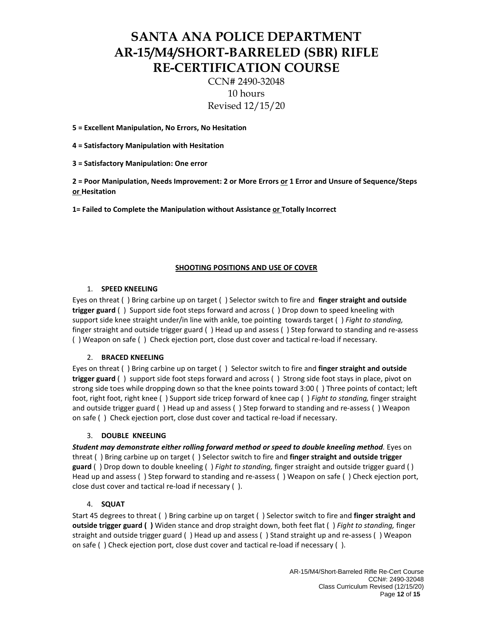CCN# 2490-32048 10 hours Revised 12/15/20

**5 = Excellent Manipulation, No Errors, No Hesitation**

**4 = Satisfactory Manipulation with Hesitation**

**3 = Satisfactory Manipulation: One error** 

**2 = Poor Manipulation, Needs Improvement: 2 or More Errors or 1 Error and Unsure of Sequence/Steps or Hesitation**

**1= Failed to Complete the Manipulation without Assistance or Totally Incorrect**

#### **SHOOTING POSITIONS AND USE OF COVER**

#### 1. **SPEED KNEELING**

Eyes on threat ( ) Bring carbine up on target ( ) Selector switch to fire and **finger straight and outside trigger guard** ( ) Support side foot steps forward and across ( ) Drop down to speed kneeling with support side knee straight under/in line with ankle, toe pointing towards target ( ) *Fight to standing,* finger straight and outside trigger guard ( ) Head up and assess ( ) Step forward to standing and re-assess ( ) Weapon on safe ( ) Check ejection port, close dust cover and tactical re-load if necessary.

#### 2. **BRACED KNEELING**

Eyes on threat ( ) Bring carbine up on target ( ) Selector switch to fire and **finger straight and outside trigger guard** ( ) support side foot steps forward and across ( ) Strong side foot stays in place, pivot on strong side toes while dropping down so that the knee points toward 3:00 ( ) Three points of contact; left foot, right foot, right knee ( ) Support side tricep forward of knee cap ( ) *Fight to standing,* finger straight and outside trigger guard ( ) Head up and assess ( ) Step forward to standing and re-assess ( ) Weapon on safe ( ) Check ejection port, close dust cover and tactical re-load if necessary.

#### 3. **DOUBLE KNEELING**

*Student may demonstrate either rolling forward method or speed to double kneeling method.* Eyes on threat ( ) Bring carbine up on target ( ) Selector switch to fire and **finger straight and outside trigger guard** ( ) Drop down to double kneeling ( ) *Fight to standing,* finger straight and outside trigger guard ( ) Head up and assess ( ) Step forward to standing and re-assess ( ) Weapon on safe ( ) Check ejection port, close dust cover and tactical re-load if necessary ( ).

#### 4. **SQUAT**

Start 45 degrees to threat ( ) Bring carbine up on target ( ) Selector switch to fire and **finger straight and outside trigger guard ( )** Widen stance and drop straight down, both feet flat ( ) *Fight to standing,* finger straight and outside trigger guard ( ) Head up and assess ( ) Stand straight up and re-assess ( ) Weapon on safe ( ) Check ejection port, close dust cover and tactical re-load if necessary ( ).

> AR-15/M4/Short-Barreled Rifle Re-Cert Course CCN#: 2490-32048 Class Curriculum Revised (12/15/20) Page **12** of **15**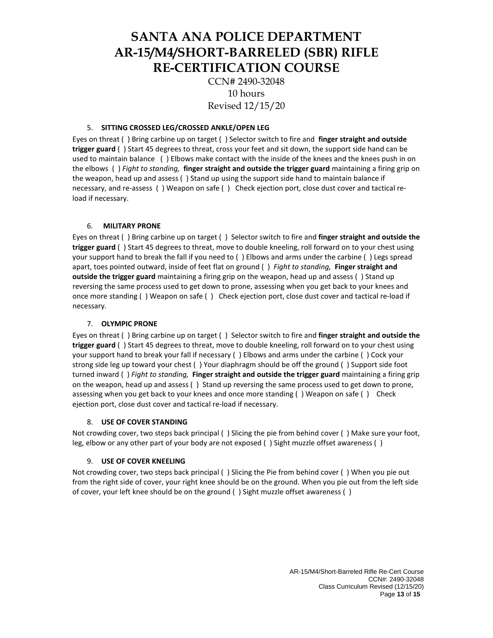CCN# 2490-32048 10 hours Revised 12/15/20

#### 5. **SITTING CROSSED LEG/CROSSED ANKLE/OPEN LEG**

Eyes on threat ( ) Bring carbine up on target ( ) Selector switch to fire and **finger straight and outside trigger guard** ( ) Start 45 degrees to threat, cross your feet and sit down, the support side hand can be used to maintain balance ( ) Elbows make contact with the inside of the knees and the knees push in on the elbows ( ) *Fight to standing,* **finger straight and outside the trigger guard** maintaining a firing grip on the weapon, head up and assess ( ) Stand up using the support side hand to maintain balance if necessary, and re-assess ( ) Weapon on safe ( ) Check ejection port, close dust cover and tactical reload if necessary.

### 6. **MILITARY PRONE**

Eyes on threat ( ) Bring carbine up on target ( ) Selector switch to fire and **finger straight and outside the trigger guard** ( ) Start 45 degrees to threat, move to double kneeling, roll forward on to your chest using your support hand to break the fall if you need to ( ) Elbows and arms under the carbine ( ) Legs spread apart, toes pointed outward, inside of feet flat on ground ( ) *Fight to standing,* **Finger straight and outside the trigger guard** maintaining a firing grip on the weapon, head up and assess ( ) Stand up reversing the same process used to get down to prone, assessing when you get back to your knees and once more standing ( ) Weapon on safe ( ) Check ejection port, close dust cover and tactical re-load if necessary.

#### 7. **OLYMPIC PRONE**

Eyes on threat ( ) Bring carbine up on target ( ) Selector switch to fire and **finger straight and outside the trigger guard** ( ) Start 45 degrees to threat, move to double kneeling, roll forward on to your chest using your support hand to break your fall if necessary ( ) Elbows and arms under the carbine ( ) Cock your strong side leg up toward your chest ( ) Your diaphragm should be off the ground ( ) Support side foot turned inward ( ) *Fight to standing,* **Finger straight and outside the trigger guard** maintaining a firing grip on the weapon, head up and assess ( ) Stand up reversing the same process used to get down to prone, assessing when you get back to your knees and once more standing () Weapon on safe () Check ejection port, close dust cover and tactical re-load if necessary.

#### 8. **USE OF COVER STANDING**

Not crowding cover, two steps back principal ( ) Slicing the pie from behind cover ( ) Make sure your foot, leg, elbow or any other part of your body are not exposed ( ) Sight muzzle offset awareness ( )

#### 9. **USE OF COVER KNEELING**

Not crowding cover, two steps back principal ( ) Slicing the Pie from behind cover ( ) When you pie out from the right side of cover, your right knee should be on the ground. When you pie out from the left side of cover, your left knee should be on the ground ( ) Sight muzzle offset awareness ( )

> AR-15/M4/Short-Barreled Rifle Re-Cert Course CCN#: 2490-32048 Class Curriculum Revised (12/15/20) Page **13** of **15**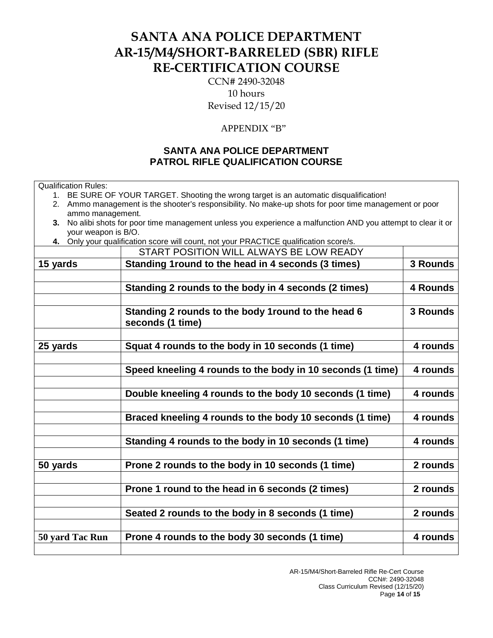CCN# 2490-32048 10 hours Revised 12/15/20

## APPENDIX "B"

## **SANTA ANA POLICE DEPARTMENT PATROL RIFLE QUALIFICATION COURSE**

2. Ammo management is the shooter's responsibility. No make-up shots for poor time management or poor

1. BE SURE OF YOUR TARGET. Shooting the wrong target is an automatic disqualification!

Qualification Rules:

| ammo management.    |                                                                                                            |                 |
|---------------------|------------------------------------------------------------------------------------------------------------|-----------------|
| 3.                  | No alibi shots for poor time management unless you experience a malfunction AND you attempt to clear it or |                 |
| your weapon is B/O. |                                                                                                            |                 |
| 4.                  | Only your qualification score will count, not your PRACTICE qualification score/s.                         |                 |
|                     | START POSITION WILL ALWAYS BE LOW READY                                                                    |                 |
| 15 yards            | Standing 1 round to the head in 4 seconds (3 times)                                                        | 3 Rounds        |
|                     |                                                                                                            |                 |
|                     | Standing 2 rounds to the body in 4 seconds (2 times)                                                       | <b>4 Rounds</b> |
|                     |                                                                                                            |                 |
|                     | Standing 2 rounds to the body 1 round to the head 6<br>seconds (1 time)                                    | 3 Rounds        |
|                     |                                                                                                            |                 |
| 25 yards            | Squat 4 rounds to the body in 10 seconds (1 time)                                                          | 4 rounds        |
|                     |                                                                                                            |                 |
|                     | Speed kneeling 4 rounds to the body in 10 seconds (1 time)                                                 | 4 rounds        |
|                     |                                                                                                            |                 |
|                     | Double kneeling 4 rounds to the body 10 seconds (1 time)                                                   | 4 rounds        |
|                     |                                                                                                            |                 |
|                     | Braced kneeling 4 rounds to the body 10 seconds (1 time)                                                   | 4 rounds        |
|                     |                                                                                                            |                 |
|                     | Standing 4 rounds to the body in 10 seconds (1 time)                                                       | 4 rounds        |
|                     |                                                                                                            |                 |
| 50 yards            | Prone 2 rounds to the body in 10 seconds (1 time)                                                          | 2 rounds        |
|                     |                                                                                                            |                 |
|                     | Prone 1 round to the head in 6 seconds (2 times)                                                           | 2 rounds        |
|                     |                                                                                                            |                 |
|                     | Seated 2 rounds to the body in 8 seconds (1 time)                                                          | 2 rounds        |
|                     |                                                                                                            |                 |
| 50 yard Tac Run     | Prone 4 rounds to the body 30 seconds (1 time)                                                             | 4 rounds        |
|                     |                                                                                                            |                 |